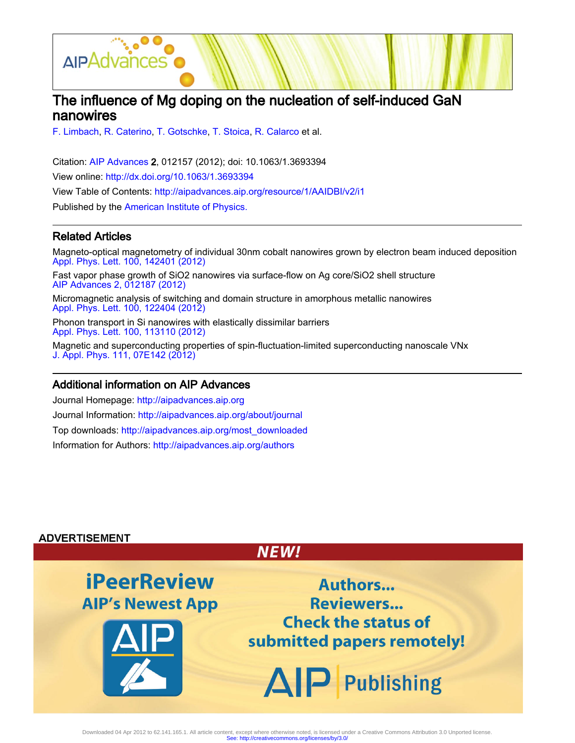

# The influence of Mg doping on the nucleation of self-induced GaN nanowires

[F. Limbach](http://aipadvances.aip.org/search?sortby=newestdate&q=&searchzone=2&searchtype=searchin&faceted=faceted&key=AIP_ALL&possible1=F. Limbach&possible1zone=author&alias=&displayid=AIP&ver=pdfcov), [R. Caterino,](http://aipadvances.aip.org/search?sortby=newestdate&q=&searchzone=2&searchtype=searchin&faceted=faceted&key=AIP_ALL&possible1=R. Caterino&possible1zone=author&alias=&displayid=AIP&ver=pdfcov) [T. Gotschke,](http://aipadvances.aip.org/search?sortby=newestdate&q=&searchzone=2&searchtype=searchin&faceted=faceted&key=AIP_ALL&possible1=T. Gotschke&possible1zone=author&alias=&displayid=AIP&ver=pdfcov) [T. Stoica,](http://aipadvances.aip.org/search?sortby=newestdate&q=&searchzone=2&searchtype=searchin&faceted=faceted&key=AIP_ALL&possible1=T. Stoica&possible1zone=author&alias=&displayid=AIP&ver=pdfcov) [R. Calarco](http://aipadvances.aip.org/search?sortby=newestdate&q=&searchzone=2&searchtype=searchin&faceted=faceted&key=AIP_ALL&possible1=R. Calarco&possible1zone=author&alias=&displayid=AIP&ver=pdfcov) et al.

Citation: [AIP Advances 2](http://aipadvances.aip.org?ver=pdfcov), 012157 (2012); doi: 10.1063/1.3693394 View online: [http://dx.doi.org/10.1063/1.3693394](http://link.aip.org/link/doi/10.1063/1.3693394?ver=pdfcov) View Table of Contents: [http://aipadvances.aip.org/resource/1/AAIDBI/v2/i1](http://aipadvances.aip.org/resource/1/AAIDBI/v2/i1?ver=pdfcov) Published by the [American Institute of Physics.](http://www.aip.org/?ver=pdfcov)

### Related Articles

Magneto-optical magnetometry of individual 30nm cobalt nanowires grown by electron beam induced deposition [Appl. Phys. Lett. 100, 142401 \(2012\)](http://link.aip.org/link/doi/10.1063/1.3701153?ver=pdfcov)

Fast vapor phase growth of SiO2 nanowires via surface-flow on Ag core/SiO2 shell structure [AIP Advances 2, 012187 \(2012\)](http://link.aip.org/link/doi/10.1063/1.3700232?ver=pdfcov)

Micromagnetic analysis of switching and domain structure in amorphous metallic nanowires [Appl. Phys. Lett. 100, 122404 \(2012\)](http://link.aip.org/link/doi/10.1063/1.3696046?ver=pdfcov)

Phonon transport in Si nanowires with elastically dissimilar barriers [Appl. Phys. Lett. 100, 113110 \(2012\)](http://link.aip.org/link/doi/10.1063/1.3694043?ver=pdfcov)

Magnetic and superconducting properties of spin-fluctuation-limited superconducting nanoscale VNx [J. Appl. Phys. 111, 07E142 \(2012\)](http://link.aip.org/link/doi/10.1063/1.3679148?ver=pdfcov)

#### Additional information on AIP Advances

Journal Homepage: [http://aipadvances.aip.org](http://aipadvances.aip.org?ver=pdfcov) Journal Information: [http://aipadvances.aip.org/about/journal](http://aipadvances.aip.org/about/journal?ver=pdfcov) Top downloads: [http://aipadvances.aip.org/most\\_downloaded](http://aipadvances.aip.org/most_downloaded?ver=pdfcov) Information for Authors: [http://aipadvances.aip.org/authors](http://aipadvances.aip.org/authors?ver=pdfcov)

#### **ADVERTISEMENT**



Downloaded 04 Apr 2012 to 62.141.165.1. All article content, except where otherwise noted, is licensed under a Creative Commons Attribution 3.0 Unported license.<br>See: http://creativecommons.org/licenses/by/3.0/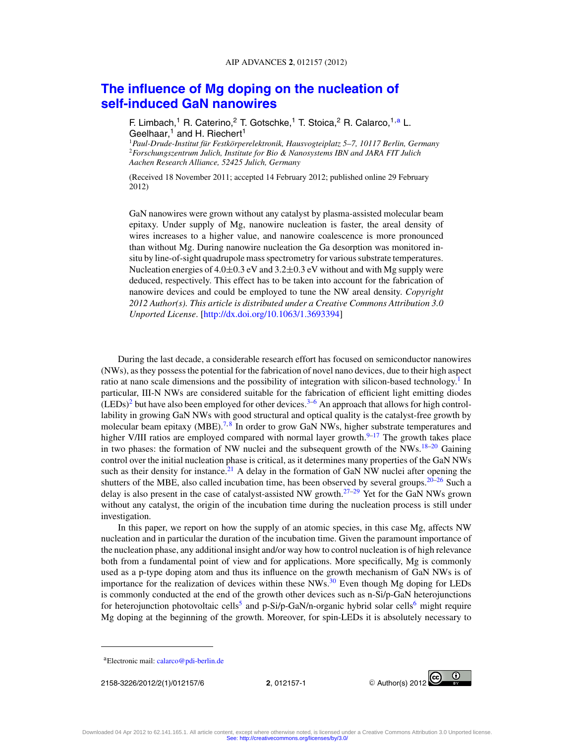## **[The influence of Mg doping on the nucleation of](http://dx.doi.org/10.1063/1.3693394) [self-induced GaN nanowires](http://dx.doi.org/10.1063/1.3693394)**

F. Limbach,<sup>1</sup> R. Caterino,<sup>2</sup> T. Gotschke,<sup>1</sup> T. Stoica,<sup>2</sup> R. Calarco,<sup>1,a</sup> L. Geelhaar, $1$  and H. Riechert<sup>1</sup>

<sup>1</sup>*Paul-Drude-Institut fur Festk ¨ orperelektronik, Hausvogteiplatz 5–7, 10117 Berlin, Germany ¨* <sup>2</sup>*Forschungszentrum Julich, Institute for Bio & Nanosystems IBN and JARA FIT Julich Aachen Research Alliance, 52425 Julich, Germany*

(Received 18 November 2011; accepted 14 February 2012; published online 29 February 2012)

GaN nanowires were grown without any catalyst by plasma-assisted molecular beam epitaxy. Under supply of Mg, nanowire nucleation is faster, the areal density of wires increases to a higher value, and nanowire coalescence is more pronounced than without Mg. During nanowire nucleation the Ga desorption was monitored insitu by line-of-sight quadrupole mass spectrometry for various substrate temperatures. Nucleation energies of  $4.0\pm0.3$  eV and  $3.2\pm0.3$  eV without and with Mg supply were deduced, respectively. This effect has to be taken into account for the fabrication of nanowire devices and could be employed to tune the NW areal density. *Copyright 2012 Author(s). This article is distributed under a Creative Commons Attribution 3.0 Unported License*. [\[http://dx.doi.org/10.1063/1.3693394\]](http://dx.doi.org/10.1063/1.3693394)

During the last decade, a considerable research effort has focused on semiconductor nanowires (NWs), as they possess the potential for the fabrication of novel nano devices, due to their high aspect ratio at nano scale dimensions and the possibility of integration with silicon-based technology.<sup>[1](#page-5-0)</sup> In particular, III-N NWs are considered suitable for the fabrication of efficient light emitting diodes  $(LEDs)^2$  but have also been employed for other devices.<sup>[3–6](#page-5-0)</sup> An approach that allows for high controllability in growing GaN NWs with good structural and optical quality is the catalyst-free growth by molecular beam epitaxy (MBE).<sup>[7,](#page-5-0)[8](#page-5-0)</sup> In order to grow GaN NWs, higher substrate temperatures and higher V/III ratios are employed compared with normal layer growth. $9-17$  The growth takes place in two phases: the formation of NW nuclei and the subsequent growth of the  $NWs.18-20$  Gaining control over the initial nucleation phase is critical, as it determines many properties of the GaN NWs such as their density for instance.<sup>[21](#page-5-0)</sup> A delay in the formation of GaN NW nuclei after opening the shutters of the MBE, also called incubation time, has been observed by several groups.<sup>[20–26](#page-5-0)</sup> Such a delay is also present in the case of catalyst-assisted NW growth.<sup>[27–29](#page-5-0)</sup> Yet for the GaN NWs grown without any catalyst, the origin of the incubation time during the nucleation process is still under investigation.

In this paper, we report on how the supply of an atomic species, in this case Mg, affects NW nucleation and in particular the duration of the incubation time. Given the paramount importance of the nucleation phase, any additional insight and/or way how to control nucleation is of high relevance both from a fundamental point of view and for applications. More specifically, Mg is commonly used as a p-type doping atom and thus its influence on the growth mechanism of GaN NWs is of importance for the realization of devices within these  $NWs$ .<sup>[30](#page-6-0)</sup> Even though Mg doping for LEDs is commonly conducted at the end of the growth other devices such as n-Si/p-GaN heterojunctions for heterojunction photovoltaic cells<sup>5</sup> and p-Si/p-GaN/n-organic hybrid solar cells<sup>6</sup> might require Mg doping at the beginning of the growth. Moreover, for spin-LEDs it is absolutely necessary to

2158-3226/2012/2(1)/012157/6 **2**, 012157-1 -



aElectronic mail: [calarco@pdi-berlin.de](mailto: calarco@pdi-berlin.de)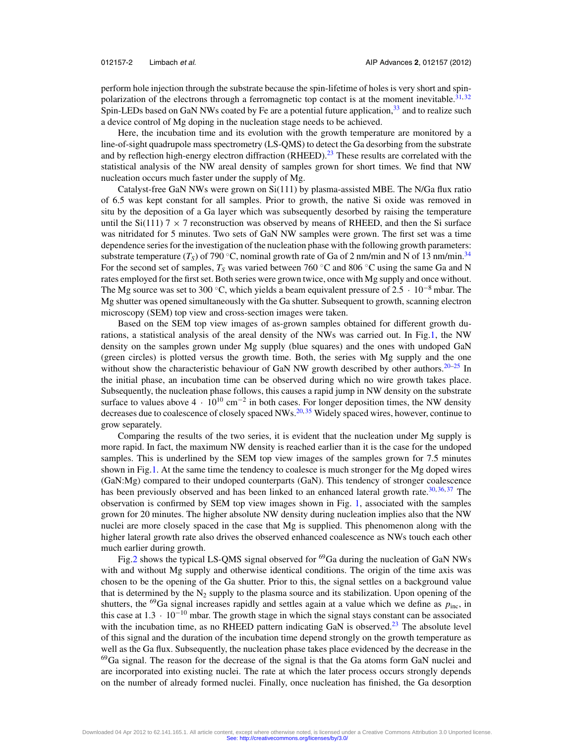perform hole injection through the substrate because the spin-lifetime of holes is very short and spin-polarization of the electrons through a ferromagnetic top contact is at the moment inevitable.<sup>[31,](#page-6-0)[32](#page-6-0)</sup> Spin-LEDs based on GaN NWs coated by Fe are a potential future application, $33$  and to realize such a device control of Mg doping in the nucleation stage needs to be achieved.

Here, the incubation time and its evolution with the growth temperature are monitored by a line-of-sight quadrupole mass spectrometry (LS-QMS) to detect the Ga desorbing from the substrate and by reflection high-energy electron diffraction (RHEED).<sup>[23](#page-5-0)</sup> These results are correlated with the statistical analysis of the NW areal density of samples grown for short times. We find that NW nucleation occurs much faster under the supply of Mg.

Catalyst-free GaN NWs were grown on Si(111) by plasma-assisted MBE. The N/Ga flux ratio of 6.5 was kept constant for all samples. Prior to growth, the native Si oxide was removed in situ by the deposition of a Ga layer which was subsequently desorbed by raising the temperature until the  $Si(111)$  7  $\times$  7 reconstruction was observed by means of RHEED, and then the Si surface was nitridated for 5 minutes. Two sets of GaN NW samples were grown. The first set was a time dependence series for the investigation of the nucleation phase with the following growth parameters: substrate temperature  $(T<sub>S</sub>)$  of 790 °C, nominal growth rate of Ga of 2 nm/min and N of 13 nm/min.<sup>[34](#page-6-0)</sup> For the second set of samples,  $T_S$  was varied between 760 °C and 806 °C using the same Ga and N rates employed for the first set. Both series were grown twice, once with Mg supply and once without. The Mg source was set to 300 °C, which yields a beam equivalent pressure of  $2.5 \cdot 10^{-8}$  mbar. The Mg shutter was opened simultaneously with the Ga shutter. Subsequent to growth, scanning electron microscopy (SEM) top view and cross-section images were taken.

Based on the SEM top view images of as-grown samples obtained for different growth durations, a statistical analysis of the areal density of the NWs was carried out. In Fig[.1,](#page-3-0) the NW density on the samples grown under Mg supply (blue squares) and the ones with undoped GaN (green circles) is plotted versus the growth time. Both, the series with Mg supply and the one without show the characteristic behaviour of GaN NW growth described by other authors.<sup>20–25</sup> In the initial phase, an incubation time can be observed during which no wire growth takes place. Subsequently, the nucleation phase follows, this causes a rapid jump in NW density on the substrate surface to values above  $4 \cdot 10^{10}$  cm<sup>-2</sup> in both cases. For longer deposition times, the NW density decreases due to coalescence of closely spaced NWs.<sup>20, [35](#page-6-0)</sup> Widely spaced wires, however, continue to grow separately.

Comparing the results of the two series, it is evident that the nucleation under Mg supply is more rapid. In fact, the maximum NW density is reached earlier than it is the case for the undoped samples. This is underlined by the SEM top view images of the samples grown for 7.5 minutes shown in Fig[.1.](#page-3-0) At the same time the tendency to coalesce is much stronger for the Mg doped wires (GaN:Mg) compared to their undoped counterparts (GaN). This tendency of stronger coalescence has been previously observed and has been linked to an enhanced lateral growth rate.<sup>30, [36,](#page-6-0) [37](#page-6-0)</sup> The observation is confirmed by SEM top view images shown in Fig. [1,](#page-3-0) associated with the samples grown for 20 minutes. The higher absolute NW density during nucleation implies also that the NW nuclei are more closely spaced in the case that Mg is supplied. This phenomenon along with the higher lateral growth rate also drives the observed enhanced coalescence as NWs touch each other much earlier during growth.

Fig[.2](#page-4-0) shows the typical LS-QMS signal observed for 69Ga during the nucleation of GaN NWs with and without Mg supply and otherwise identical conditions. The origin of the time axis was chosen to be the opening of the Ga shutter. Prior to this, the signal settles on a background value that is determined by the  $N_2$  supply to the plasma source and its stabilization. Upon opening of the shutters, the <sup>69</sup>Ga signal increases rapidly and settles again at a value which we define as  $p_{\text{inc}}$ , in this case at  $1.3 \cdot 10^{-10}$  mbar. The growth stage in which the signal stays constant can be associated with the incubation time, as no RHEED pattern indicating GaN is observed. $^{23}$  $^{23}$  $^{23}$  The absolute level of this signal and the duration of the incubation time depend strongly on the growth temperature as well as the Ga flux. Subsequently, the nucleation phase takes place evidenced by the decrease in the  $^{69}$ Ga signal. The reason for the decrease of the signal is that the Ga atoms form GaN nuclei and are incorporated into existing nuclei. The rate at which the later process occurs strongly depends on the number of already formed nuclei. Finally, once nucleation has finished, the Ga desorption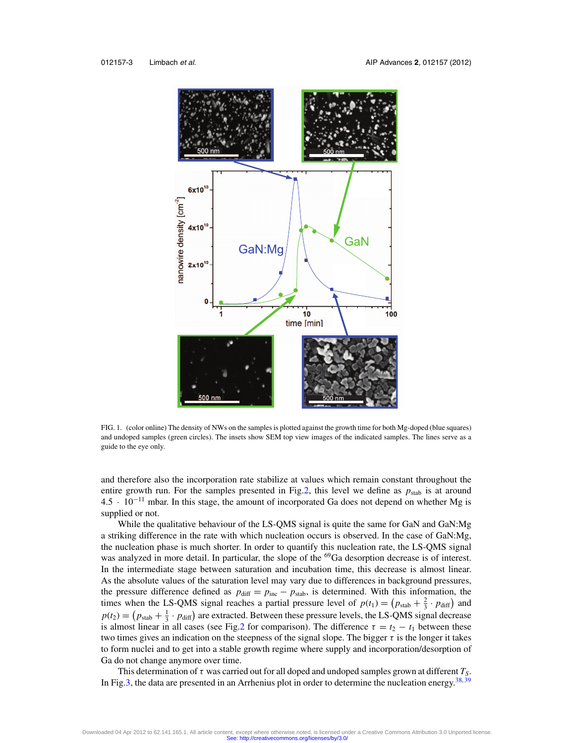<span id="page-3-0"></span>

FIG. 1. (color online) The density of NWs on the samples is plotted against the growth time for both Mg-doped (blue squares) and undoped samples (green circles). The insets show SEM top view images of the indicated samples. The lines serve as a guide to the eye only.

and therefore also the incorporation rate stabilize at values which remain constant throughout the entire growth run. For the samples presented in Fig[.2,](#page-4-0) this level we define as  $p_{stab}$  is at around 4.5 · <sup>10</sup>−<sup>11</sup> mbar. In this stage, the amount of incorporated Ga does not depend on whether Mg is supplied or not.

While the qualitative behaviour of the LS-QMS signal is quite the same for GaN and GaN:Mg a striking difference in the rate with which nucleation occurs is observed. In the case of GaN:Mg, the nucleation phase is much shorter. In order to quantify this nucleation rate, the LS-QMS signal was analyzed in more detail. In particular, the slope of the <sup>69</sup>Ga desorption decrease is of interest. In the intermediate stage between saturation and incubation time, this decrease is almost linear. As the absolute values of the saturation level may vary due to differences in background pressures, the pressure difference defined as  $p_{\text{diff}} = p_{\text{inc}} - p_{\text{stab}}$ , is determined. With this information, the times when the LS-QMS signal reaches a partial pressure level of  $p(t_1) = (p_{stab} + \frac{2}{3} \cdot p_{diff})$  and  $p(t_2) = (p_{stab} + \frac{1}{3} \cdot p_{diff})$  are extracted. Between these pressure levels, the LS-QMS signal decrease is almost linear in all cases (see Fig[.2](#page-4-0) for comparison). The difference  $\tau = t_2 - t_1$  between these two times gives an indication on the steepness of the signal slope. The bigger  $\tau$  is the longer it takes to form nuclei and to get into a stable growth regime where supply and incorporation/desorption of Ga do not change anymore over time.

This determination of  $\tau$  was carried out for all doped and undoped samples grown at different  $T_S$ . In Fig[.3,](#page-4-0) the data are presented in an Arrhenius plot in order to determine the nucleation energy.<sup>[38,](#page-6-0) [39](#page-6-0)</sup>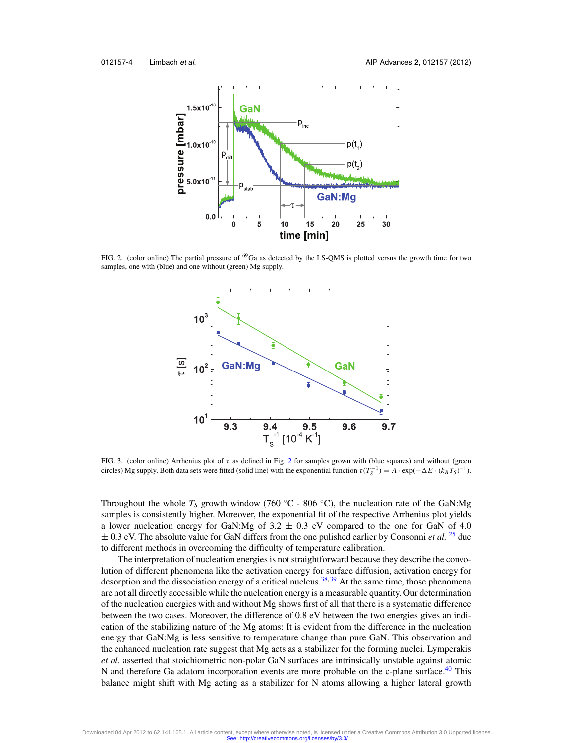<span id="page-4-0"></span>

FIG. 2. (color online) The partial pressure of 69Ga as detected by the LS-QMS is plotted versus the growth time for two samples, one with (blue) and one without (green) Mg supply.



FIG. 3. (color online) Arrhenius plot of  $\tau$  as defined in Fig. 2 for samples grown with (blue squares) and without (green circles) Mg supply. Both data sets were fitted (solid line) with the exponential function  $\tau(T_S^{-1}) = A \cdot \exp(-\Delta E \cdot (k_B T_S)^{-1})$ .

Throughout the whole  $T_s$  growth window (760 °C - 806 °C), the nucleation rate of the GaN:Mg samples is consistently higher. Moreover, the exponential fit of the respective Arrhenius plot yields a lower nucleation energy for GaN:Mg of  $3.2 \pm 0.3$  eV compared to the one for GaN of 4.0  $\pm$  0.3 eV. The absolute value for GaN differs from the one pulished earlier by Consonni *et al.* <sup>[25](#page-5-0)</sup> due to different methods in overcoming the difficulty of temperature calibration.

The interpretation of nucleation energies is not straightforward because they describe the convolution of different phenomena like the activation energy for surface diffusion, activation energy for desorption and the dissociation energy of a critical nucleus.<sup>[38,](#page-6-0) [39](#page-6-0)</sup> At the same time, those phenomena are not all directly accessible while the nucleation energy is a measurable quantity. Our determination of the nucleation energies with and without Mg shows first of all that there is a systematic difference between the two cases. Moreover, the difference of 0.8 eV between the two energies gives an indication of the stabilizing nature of the Mg atoms: It is evident from the difference in the nucleation energy that GaN:Mg is less sensitive to temperature change than pure GaN. This observation and the enhanced nucleation rate suggest that Mg acts as a stabilizer for the forming nuclei. Lymperakis *et al.* asserted that stoichiometric non-polar GaN surfaces are intrinsically unstable against atomic N and therefore Ga adatom incorporation events are more probable on the c-plane surface.<sup>40</sup> This balance might shift with Mg acting as a stabilizer for N atoms allowing a higher lateral growth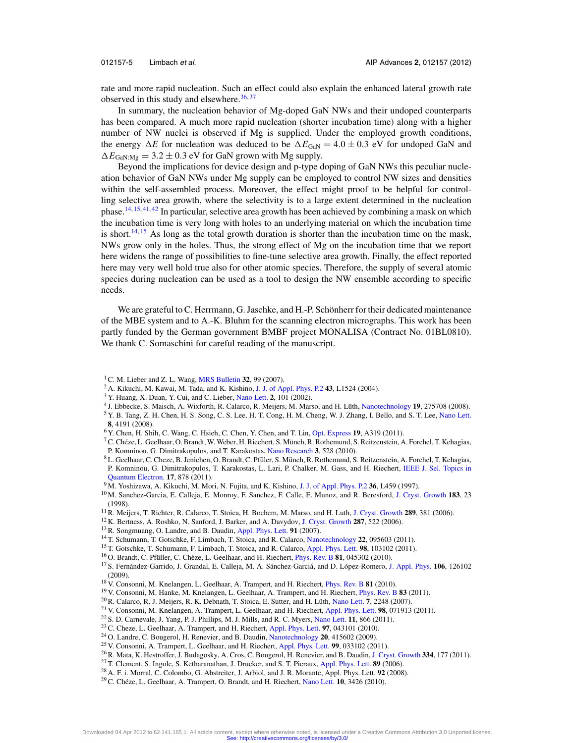<span id="page-5-0"></span>

rate and more rapid nucleation. Such an effect could also explain the enhanced lateral growth rate observed in this study and elsewhere. $36,37$  $36,37$ 

In summary, the nucleation behavior of Mg-doped GaN NWs and their undoped counterparts has been compared. A much more rapid nucleation (shorter incubation time) along with a higher number of NW nuclei is observed if Mg is supplied. Under the employed growth conditions, the energy  $\Delta E$  for nucleation was deduced to be  $\Delta E_{\text{GAN}} = 4.0 \pm 0.3$  eV for undoped GaN and  $\Delta E_{\text{Gal} \cdot \text{Me}} = 3.2 \pm 0.3$  eV for GaN grown with Mg supply.

Beyond the implications for device design and p-type doping of GaN NWs this peculiar nucleation behavior of GaN NWs under Mg supply can be employed to control NW sizes and densities within the self-assembled process. Moreover, the effect might proof to be helpful for controlling selective area growth, where the selectivity is to a large extent determined in the nucleation phase.14, 15, [41,](#page-6-0) [42](#page-6-0) In particular, selective area growth has been achieved by combining a mask on which the incubation time is very long with holes to an underlying material on which the incubation time is short.<sup>14, 15</sup> As long as the total growth duration is shorter than the incubation time on the mask, NWs grow only in the holes. Thus, the strong effect of Mg on the incubation time that we report here widens the range of possibilities to fine-tune selective area growth. Finally, the effect reported here may very well hold true also for other atomic species. Therefore, the supply of several atomic species during nucleation can be used as a tool to design the NW ensemble according to specific needs.

We are grateful to C. Herrmann, G. Jaschke, and H.-P. Schönherr for their dedicated maintenance of the MBE system and to A.-K. Bluhm for the scanning electron micrographs. This work has been partly funded by the German government BMBF project MONALISA (Contract No. 01BL0810). We thank C. Somaschini for careful reading of the manuscript.

- <sup>2</sup> A. Kikuchi, M. Kawai, M. Tada, and K. Kishino, [J. J. of Appl. Phys. P.2](http://dx.doi.org/10.1143/JJAP.43.L1524) **43**, L1524 (2004).
- <sup>3</sup> Y. Huang, X. Duan, Y. Cui, and C. Lieber, [Nano Lett.](http://dx.doi.org/10.1021/nl015667d) **2**, 101 (2002).
- <sup>4</sup> J. Ebbecke, S. Maisch, A. Wixforth, R. Calarco, R. Meijers, M. Marso, and H. Lüth, [Nanotechnology](http://dx.doi.org/10.1088/0957-4484/19/27/275708) 19, 275708 (2008).
- <sup>5</sup> Y. B. Tang, Z. H. Chen, H. S. Song, C. S. Lee, H. T. Cong, H. M. Cheng, W. J. Zhang, I. Bello, and S. T. Lee, [Nano Lett.](http://dx.doi.org/10.1021/nl801728d)
- **8**, 4191 (2008).
- <sup>6</sup> Y. Chen, H. Shih, C. Wang, C. Hsieh, C. Chen, Y. Chen, and T. Lin, [Opt. Express](http://dx.doi.org/10.1364/OE.19.00A319) **19**, A319 (2011).
- $^7$ C. Chéze, L. Geelhaar, O. Brandt, W. Weber, H. Riechert, S. Münch, R. Rothemund, S. Reitzenstein, A. Forchel, T. Kehagias, P. Komninou, G. Dimitrakopulos, and T. Karakostas, [Nano Research](http://dx.doi.org/10.1007/s12274-010-0013-9) **3**, 528 (2010).
- <sup>8</sup> L. Geelhaar, C. Cheze, B. Jenichen, O. Brandt, C. Pfüler, S. Münch, R. Rothemund, S. Reitzenstein, A. Forchel, T. Kehagias, P. Komninou, G. Dimitrakopulos, T. Karakostas, L. Lari, P. Chalker, M. Gass, and H. Riechert, [IEEE J. Sel. Topics in](http://dx.doi.org/10.1109/JSTQE.2010.2098396) [Quantum Electron.](http://dx.doi.org/10.1109/JSTQE.2010.2098396) **17**, 878 (2011).
- <sup>9</sup> M. Yoshizawa, A. Kikuchi, M. Mori, N. Fujita, and K. Kishino, [J. J. of Appl. Phys. P.2](http://dx.doi.org/10.1143/JJAP.36.L459) **36**, L459 (1997).
- <sup>10</sup> M. Sanchez-Garcia, E. Calleja, E. Monroy, F. Sanchez, F. Calle, E. Munoz, and R. Beresford, [J. Cryst. Growth](http://dx.doi.org/10.1016/S0022-0248(97)00386-2) **183**, 23 (1998).
- 11R. Meijers, T. Richter, R. Calarco, T. Stoica, H. Bochem, M. Marso, and H. Luth, [J. Cryst. Growth](http://dx.doi.org/10.1016/j.jcrysgro.2005.11.117) **289**, 381 (2006).
- <sup>12</sup> K. Bertness, A. Roshko, N. Sanford, J. Barker, and A. Davydov, [J. Cryst. Growth](http://dx.doi.org/10.1016/j.jcrysgro.2005.11.079) **287**, 522 (2006).
- 13R. Songmuang, O. Landre, and B. Daudin, [Appl. Phys. Lett.](http://dx.doi.org/10.1063/1.2817941) **91** (2007).
- <sup>14</sup> T. Schumann, T. Gotschke, F. Limbach, T. Stoica, and R. Calarco, [Nanotechnology](http://dx.doi.org/10.1088/0957-4484/22/9/095603) **22**, 095603 (2011).
- <sup>15</sup> T. Gotschke, T. Schumann, F. Limbach, T. Stoica, and R. Calarco, [Appl. Phys. Lett.](http://dx.doi.org/10.1063/1.3559618) **98**, 103102 (2011).
- <sup>16</sup> O. Brandt, C. Pfüller, C. Chèze, L. Geelhaar, and H. Riechert, *[Phys. Rev. B](http://dx.doi.org/10.1103/PhysRevB.81.045302)* **81**, 045302 (2010).
- <sup>17</sup> S. Fernández-Garrido, J. Grandal, E. Calleja, M. A. Sánchez-Garciá, and D. López-Romero, [J. Appl. Phys.](http://dx.doi.org/10.1063/1.3267151) 106, 126102 (2009).
- <sup>18</sup> V. Consonni, M. Knelangen, L. Geelhaar, A. Trampert, and H. Riechert, [Phys. Rev. B](http://dx.doi.org/10.1103/PhysRevB.81.085310) **81** (2010).
- <sup>19</sup> V. Consonni, M. Hanke, M. Knelangen, L. Geelhaar, A. Trampert, and H. Riechert, [Phys. Rev. B](http://dx.doi.org/10.1103/PhysRevB.83.035310) **83** (2011).
- <sup>20</sup> R. Calarco, R. J. Meijers, R. K. Debnath, T. Stoica, E. Sutter, and H. Lüth, [Nano Lett.](http://dx.doi.org/10.1021/nl0707398) **7**, 2248 (2007).
- <sup>21</sup> V. Consonni, M. Knelangen, A. Trampert, L. Geelhaar, and H. Riechert, [Appl. Phys. Lett.](http://dx.doi.org/10.1063/1.3555450) **98**, 071913 (2011).
- <sup>22</sup> S. D. Carnevale, J. Yang, P. J. Phillips, M. J. Mills, and R. C. Myers, [Nano Lett.](http://dx.doi.org/10.1021/nl104265u) **11**, 866 (2011).
- 23C. Cheze, L. Geelhaar, A. Trampert, and H. Riechert, [Appl. Phys. Lett.](http://dx.doi.org/10.1063/1.3464956) **97**, 043101 (2010).
- <sup>24</sup> O. Landre, C. Bougerol, H. Renevier, and B. Daudin, [Nanotechnology](http://dx.doi.org/10.1088/0957-4484/20/41/415602) **20**, 415602 (2009).
- <sup>25</sup> V. Consonni, A. Trampert, L. Geelhaar, and H. Riechert, [Appl. Phys. Lett.](http://dx.doi.org/10.1063/1.3610964) **99**, 033102 (2011).
- 26R. Mata, K. Hestroffer, J. Budagosky, A. Cros, C. Bougerol, H. Renevier, and B. Daudin, [J. Cryst. Growth](http://dx.doi.org/10.1016/j.jcrysgro.2011.08.015) **334**, 177 (2011).
- <sup>27</sup> T. Clement, S. Ingole, S. Ketharanathan, J. Drucker, and S. T. Picraux, [Appl. Phys. Lett.](http://dx.doi.org/10.1063/1.2364121) **89** (2006).
- <sup>28</sup> A. F. i. Morral, C. Colombo, G. Abstreiter, J. Arbiol, and J. R. Morante, Appl. Phys. Lett. **92** (2008).

<sup>1</sup>C. M. Lieber and Z. L. Wang, [MRS Bulletin](http://dx.doi.org/10.1557/mrs2007.41) **32**, 99 (2007).

<sup>&</sup>lt;sup>29</sup> C. Chéze, L. Geelhaar, A. Trampert, O. Brandt, and H. Riechert, [Nano Lett.](http://dx.doi.org/10.1021/nl101465b) **10**, 3426 (2010).